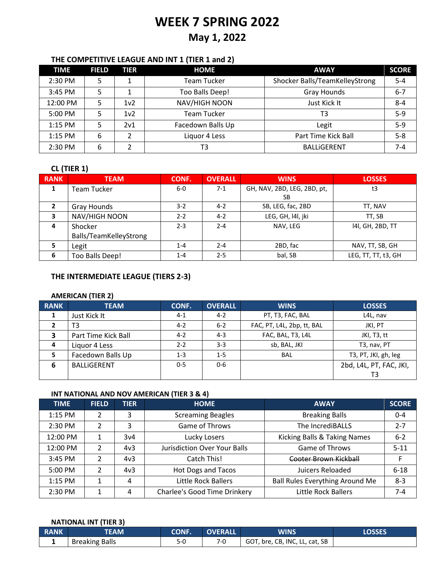# **WEEK 7 SPRING 2022**

## **May 1, 2022**

## **THE COMPETITIVE LEAGUE AND INT 1 (TIER 1 and 2)**

| <b>TIME</b> | <b>FIELD</b> | TIER            | <b>HOME</b>        | <b>AWAY</b>                    | <b>SCORE</b> |
|-------------|--------------|-----------------|--------------------|--------------------------------|--------------|
| 2:30 PM     | 5            |                 | <b>Team Tucker</b> | Shocker Balls/TeamKelleyStrong | $5 - 4$      |
| $3:45$ PM   | 5            |                 | Too Balls Deep!    | Gray Hounds                    | $6 - 7$      |
| 12:00 PM    | 5            | 1v <sub>2</sub> | NAV/HIGH NOON      | Just Kick It                   | $8 - 4$      |
| 5:00 PM     | 5            | 1v <sub>2</sub> | <b>Team Tucker</b> | T3                             | $5-9$        |
| 1:15 PM     | 5            | 2v1             | Facedown Balls Up  | Legit                          | $5-9$        |
| $1:15$ PM   | 6            | $\mathcal{P}$   | Liquor 4 Less      | Part Time Kick Ball            | $5 - 8$      |
| 2:30 PM     | 6            | າ               | T3                 | <b>BALLIGERENT</b>             | 7-4          |

## **CL (TIER 1)**

| <b>RANK</b>    | <b>TEAM</b>            | CONF.   | <b>OVERALL</b> | <b>WINS</b>                 | <b>LOSSES</b>       |
|----------------|------------------------|---------|----------------|-----------------------------|---------------------|
| 1              | Team Tucker            | 6-0     | $7-1$          | GH, NAV, 2BD, LEG, 2BD, pt, | t3                  |
|                |                        |         |                | SВ                          |                     |
| $\overline{2}$ | Gray Hounds            | 3-2     | $4 - 2$        | SB, LEG, fac, 2BD           | TT, NAV             |
| 3              | NAV/HIGH NOON          | $2 - 2$ | $4 - 2$        | LEG, GH, I4I, jki           | TT, SB              |
| 4              | Shocker                | $2 - 3$ | $2 - 4$        | NAV, LEG                    | 141, GH, 2BD, TT    |
|                | Balls/TeamKelleyStrong |         |                |                             |                     |
| 5              | Legit                  | $1 - 4$ | $2 - 4$        | 2BD, fac                    | NAV, TT, SB, GH     |
| 6              | Too Balls Deep!        | $1 - 4$ | $2 - 5$        | bal, SB                     | LEG, TT, TT, t3, GH |

## **THE INTERMEDIATE LEAGUE (TIERS 2-3)**

#### **AMERICAN (TIER 2)**

| <b>RANK</b> | <b>TEAM</b>         | CONF.   | <b>OVERALL</b> | <b>WINS</b>                | <b>LOSSES</b>           |
|-------------|---------------------|---------|----------------|----------------------------|-------------------------|
| 1           | Just Kick It        | $4-1$   | $4 - 2$        | PT, T3, FAC, BAL           | L4L, nav                |
|             | T3                  | $4 - 2$ | $6 - 2$        | FAC, PT, L4L, 2bp, tt, BAL | JKI, PT                 |
| 3           | Part Time Kick Ball | $4 - 2$ | $4 - 3$        | FAC, BAL, T3, L4L          | JKI, T3, tt             |
| 4           | Liquor 4 Less       | $2 - 2$ | $3-3$          | sb, BAL, JKI               | T3, nav, PT             |
| 5           | Facedown Balls Up   | $1 - 3$ | $1 - 5$        | <b>BAL</b>                 | T3, PT, JKI, gh, leg    |
| 6           | <b>BALLIGERENT</b>  | $0 - 5$ | $0 - 6$        |                            | 2bd, L4L, PT, FAC, JKI, |
|             |                     |         |                |                            | T3                      |

#### **INT NATIONAL AND NOV AMERICAN (TIER 3 & 4)**

| <b>TIME</b> | <b>FIELD</b>   | <b>TIER</b>     | <b>HOME</b>                         | <b>AWAY</b>                            | <b>SCORE</b> |
|-------------|----------------|-----------------|-------------------------------------|----------------------------------------|--------------|
| $1:15$ PM   | 2              | 3               | <b>Screaming Beagles</b>            | <b>Breaking Balls</b>                  | $0 - 4$      |
| 2:30 PM     | $\mathcal{P}$  | 3               | Game of Throws                      | The IncrediBALLS                       | $2 - 7$      |
| 12:00 PM    |                | 3v4             | Lucky Losers                        | Kicking Balls & Taking Names           | $6 - 2$      |
| 12:00 PM    | 2              | 4v3             | <b>Jurisdiction Over Your Balls</b> | Game of Throws                         | $5 - 11$     |
| 3:45 PM     | $\mathfrak{p}$ | 4v <sub>3</sub> | Catch This!                         | Cooter Brown Kickball                  | F            |
| 5:00 PM     | $\mathfrak{p}$ | 4v3             | <b>Hot Dogs and Tacos</b>           | Juicers Reloaded                       | $6 - 18$     |
| $1:15$ PM   | 1              | 4               | Little Rock Ballers                 | <b>Ball Rules Everything Around Me</b> | $8 - 3$      |
| 2:30 PM     |                | 4               | <b>Charlee's Good Time Drinkery</b> | <b>Little Rock Ballers</b>             | 7-4          |

#### **NATIONAL INT (TIER 3)**

| <b>RANK</b> | <b>TEAM</b>           | <b>CONF.</b> | <b>OVERALL</b> | <b>WINS</b>                    | LOSSES |
|-------------|-----------------------|--------------|----------------|--------------------------------|--------|
|             | <b>Breaking Balls</b> | $5-0$        |                | GOT, bre, CB, INC, LL, cat, SB |        |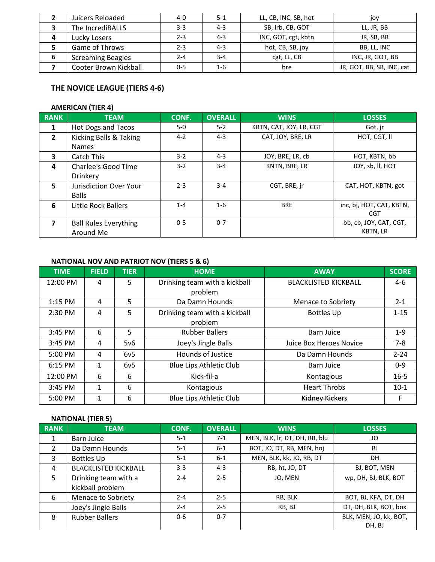|   | Juicers Reloaded         | 4-0     | $5-1$   | LL, CB, INC, SB, hot | joy                       |
|---|--------------------------|---------|---------|----------------------|---------------------------|
|   | The IncrediBALLS         | 3-3     | $4 - 3$ | SB, Irb, CB, GOT     | LL, JR, BB                |
| 4 | Lucky Losers             | 2-3     | $4 - 3$ | INC, GOT, cgt, kbtn  | JR, SB, BB                |
|   | Game of Throws           | $2 - 3$ | $4 - 3$ | hot, CB, SB, joy     | BB, LL, INC               |
| 6 | <b>Screaming Beagles</b> | 2-4     | $3 - 4$ | cgt, LL, CB          | INC, JR, GOT, BB          |
|   | Cooter Brown Kickball    | $0 - 5$ | $1 - 6$ | bre                  | JR, GOT, BB, SB, INC, cat |

## **THE NOVICE LEAGUE (TIERS 4-6)**

#### **AMERICAN (TIER 4)**

| <b>RANK</b>             | <b>TEAM</b>                  | CONF.   | <b>OVERALL</b> | <b>WINS</b>             | <b>LOSSES</b>            |
|-------------------------|------------------------------|---------|----------------|-------------------------|--------------------------|
| 1                       | Hot Dogs and Tacos           | $5-0$   | $5-2$          | KBTN, CAT, JOY, LR, CGT | Got, jr                  |
| $\mathbf{2}$            | Kicking Balls & Taking       | $4-2$   | $4 - 3$        | CAT, JOY, BRE, LR       | HOT, CGT, II             |
|                         | <b>Names</b>                 |         |                |                         |                          |
| $\overline{\mathbf{3}}$ | Catch This                   | $3 - 2$ | $4 - 3$        | JOY, BRE, LR, cb        | HOT, KBTN, bb            |
| 4                       | Charlee's Good Time          | $3 - 2$ | $3 - 4$        | KNTN, BRE, LR           | JOY, sb, II, HOT         |
|                         | Drinkery                     |         |                |                         |                          |
| $5^{\circ}$             | Jurisdiction Over Your       | $2 - 3$ | $3 - 4$        | CGT, BRE, ir            | CAT, HOT, KBTN, got      |
|                         | <b>Balls</b>                 |         |                |                         |                          |
| 6                       | Little Rock Ballers          | $1 - 4$ | $1-6$          | <b>BRE</b>              | inc, bj, HOT, CAT, KBTN, |
|                         |                              |         |                |                         | CGT                      |
| $\overline{ }$          | <b>Ball Rules Everything</b> | $0 - 5$ | $0 - 7$        |                         | bb, cb, JOY, CAT, CGT,   |
|                         | Around Me                    |         |                |                         | KBTN, LR                 |

## **NATIONAL NOV AND PATRIOT NOV (TIERS 5 & 6)**

| <b>TIME</b> | <b>FIELD</b> | <b>TIER</b> | <b>HOME</b>                              | <b>AWAY</b>                    | <b>SCORE</b> |
|-------------|--------------|-------------|------------------------------------------|--------------------------------|--------------|
| 12:00 PM    | 4            | 5           | Drinking team with a kickball<br>problem | <b>BLACKLISTED KICKBALL</b>    | $4 - 6$      |
|             |              |             |                                          |                                |              |
| $1:15$ PM   | 4            | 5           | Da Damn Hounds                           | Menace to Sobriety             | $2 - 1$      |
| 2:30 PM     | 4            | 5.          | Drinking team with a kickball            | <b>Bottles Up</b>              | $1 - 15$     |
|             |              |             | problem                                  |                                |              |
| 3:45 PM     | 6            | 5           | <b>Rubber Ballers</b>                    | <b>Barn Juice</b>              | $1 - 9$      |
| 3:45 PM     | 4            | 5v6         | Joey's Jingle Balls                      | <b>Juice Box Heroes Novice</b> | $7 - 8$      |
| 5:00 PM     | 4            | 6v5         | <b>Hounds of Justice</b>                 | Da Damn Hounds                 | $2 - 24$     |
| 6:15 PM     | 1            | 6v5         | <b>Blue Lips Athletic Club</b>           | <b>Barn Juice</b>              | $0 - 9$      |
| 12:00 PM    | 6            | 6           | Kick-fil-a                               | Kontagious                     | $16 - 5$     |
| 3:45 PM     | 1            | 6           | Kontagious                               | <b>Heart Throbs</b>            | $10-1$       |
| 5:00 PM     |              | 6           | <b>Blue Lips Athletic Club</b>           | <b>Kidney Kickers</b>          | F            |

## **NATIONAL (TIER 5)**

| <b>RANK</b> | <b>TEAM</b>                 | CONF.   | <b>OVERALL</b> | <b>WINS</b>                   | <b>LOSSES</b>          |
|-------------|-----------------------------|---------|----------------|-------------------------------|------------------------|
|             | Barn Juice                  | 5-1     | $7-1$          | MEN, BLK, lr, DT, DH, RB, blu | JO                     |
| 2           | Da Damn Hounds              | $5-1$   | $6 - 1$        | BOT, JO, DT, RB, MEN, hoj     | BJ                     |
| 3           | Bottles Up                  | 5-1     | $6 - 1$        | MEN, BLK, kk, JO, RB, DT      | DH.                    |
| 4           | <b>BLACKLISTED KICKBALL</b> | $3 - 3$ | $4 - 3$        | RB, ht, JO, DT                | BJ, BOT, MEN           |
| 5           | Drinking team with a        | $2 - 4$ | $2 - 5$        | JO, MEN                       | wp, DH, BJ, BLK, BOT   |
|             | kickball problem            |         |                |                               |                        |
| 6           | Menace to Sobriety          | $2 - 4$ | $2 - 5$        | RB, BLK                       | BOT, BJ, KFA, DT, DH   |
|             | Joey's Jingle Balls         | $2 - 4$ | $2 - 5$        | RB, BJ                        | DT, DH, BLK, BOT, box  |
| 8           | <b>Rubber Ballers</b>       | $0 - 6$ | $0 - 7$        |                               | BLK, MEN, JO, kk, BOT, |
|             |                             |         |                |                               | DH, BJ                 |